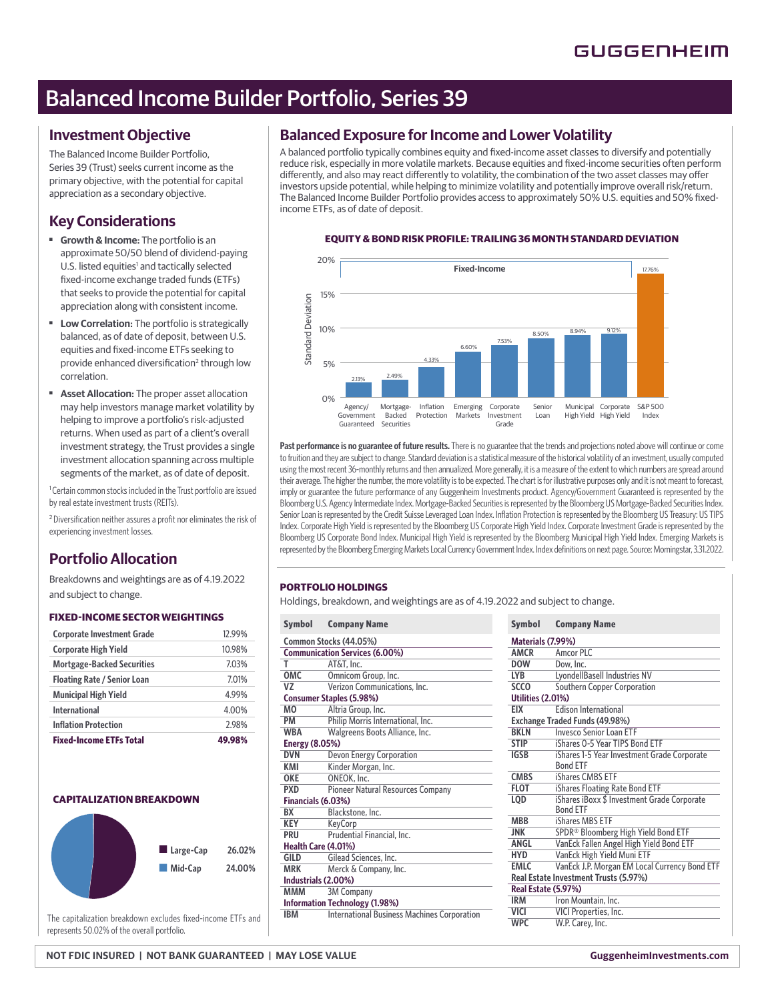# Balanced Income Builder Portfolio, Series 39

### **Investment Objective**

The Balanced Income Builder Portfolio, Series 39 (Trust) seeks current income as the primary objective, with the potential for capital appreciation as a secondary objective.

## **Key Considerations**

- **Growth & Income:** The portfolio is an approximate 50/50 blend of dividend-paying U.S. listed equities<sup>1</sup> and tactically selected fixed-income exchange traded funds (ETFs) that seeks to provide the potential for capital appreciation along with consistent income.
- ■ **Low Correlation:** The portfolio is strategically balanced, as of date of deposit, between U.S. equities and fixed-income ETFs seeking to provide enhanced diversification<sup>2</sup> through low correlation.
- **Asset Allocation:** The proper asset allocation may help investors manage market volatility by helping to improve a portfolio's risk-adjusted returns. When used as part of a client's overall investment strategy, the Trust provides a single investment allocation spanning across multiple segments of the market, as of date of deposit.

<sup>1</sup> Certain common stocks included in the Trust portfolio are issued by real estate investment trusts (REITs).

<sup>2</sup> Diversification neither assures a profit nor eliminates the risk of experiencing investment losses.

# **Portfolio Allocation**

Breakdowns and weightings are as of 4.19.2022 and subject to change.

#### **FIXED-INCOME SECTOR WEIGHTINGS**

| <b>Corporate Investment Grade</b>  | 12.99% |
|------------------------------------|--------|
| <b>Corporate High Yield</b>        | 10.98% |
| <b>Mortgage-Backed Securities</b>  | 7.03%  |
| <b>Floating Rate / Senior Loan</b> | 7.01%  |
| <b>Municipal High Yield</b>        | 4.99%  |
| International                      | 4.00%  |
| <b>Inflation Protection</b>        | 2.98%  |
| <b>Fixed-Income ETFs Total</b>     | 49.98% |



The capitalization breakdown excludes fixed-income ETFs and represents 50.02% of the overall portfolio.

### **Balanced Exposure for Income and Lower Volatility**

A balanced portfolio typically combines equity and fixed-income asset classes to diversify and potentially reduce risk, especially in more volatile markets. Because equities and fixed-income securities often perform differently, and also may react differently to volatility, the combination of the two asset classes may offer investors upside potential, while helping to minimize volatility and potentially improve overall risk/return. The Balanced Income Builder Portfolio provides access to approximately 50% U.S. equities and 50% fixedincome ETFs, as of date of deposit.

#### **EQUITY & BOND RISK PROFILE: TRAILING 36 MONTH STANDARD DEVIATION**



**Past performance is no guarantee of future results.** There is no guarantee that the trends and projections noted above will continue or come to fruition and they are subject to change. Standard deviation is a statistical measure of the historical volatility of an investment, usually computed using the most recent 36-monthly returns and then annualized. More generally, it is a measure of the extent to which numbers are spread around their average. The higher the number, the more volatility is to be expected. The chart is for illustrative purposes only and it is not meant to forecast, imply or guarantee the future performance of any Guggenheim Investments product. Agency/Government Guaranteed is represented by the Bloomberg U.S. Agency Intermediate Index. Mortgage-Backed Securities is represented by the Bloomberg US Mortgage-Backed Securities Index. Senior Loan is represented by the Credit Suisse Leveraged Loan Index. Inflation Protection is represented by the Bloomberg US Treasury: US TIPS Index. Corporate High Yield is represented by the Bloomberg US Corporate High Yield Index. Corporate Investment Grade is represented by the Bloomberg US Corporate Bond Index. Municipal High Yield is represented by the Bloomberg Municipal High Yield Index. Emerging Markets is represented by the Bloomberg Emerging Markets Local Currency Government Index. Index definitions on next page. Source: Morningstar, 3.31.2022.

#### **PORTFOLIO HOLDINGS**

Holdings, breakdown, and weightings are as of 4.19.2022 and subject to change.

| <b>Symbol</b>                   | <b>Company Name</b>                                | <b>Symbol</b>            | <b>Company Name</b>                  |
|---------------------------------|----------------------------------------------------|--------------------------|--------------------------------------|
|                                 | Common Stocks (44.05%)                             | Materials (7.99%)        |                                      |
|                                 | <b>Communication Services (6.00%)</b>              | <b>AMCR</b>              | Amcor PLC                            |
| T                               | AT&T, Inc.                                         | <b>DOW</b>               | Dow. Inc.                            |
| <b>OMC</b>                      | Omnicom Group, Inc.                                | <b>LYB</b>               | LyondellBasell Inc                   |
| VZ                              | Verizon Communications, Inc.                       | <b>SCCO</b>              | Southern Copper                      |
| <b>Consumer Staples (5.98%)</b> |                                                    | <b>Utilities (2.01%)</b> |                                      |
| <b>MO</b>                       | Altria Group, Inc.                                 | <b>EIX</b>               | <b>Edison Internation</b>            |
| <b>PM</b>                       | Philip Morris International, Inc.                  |                          | <b>Exchange Traded Funds (49.9</b>   |
| <b>WBA</b>                      | Walgreens Boots Alliance, Inc.                     | <b>BKLN</b>              | Invesco Senior Lo                    |
| <b>Energy (8.05%)</b>           |                                                    | <b>STIP</b>              | iShares 0-5 Year 1                   |
| <b>DVN</b>                      | Devon Energy Corporation                           | <b>IGSB</b>              | iShares 1-5 Year In                  |
| KMI                             | Kinder Morgan, Inc.                                |                          | <b>Bond ETF</b>                      |
| <b>OKE</b>                      | ONEOK, Inc.                                        | <b>CMBS</b>              | iShares CMBS ETI                     |
| <b>PXD</b>                      | Pioneer Natural Resources Company                  | <b>FLOT</b>              | iShares Floating R                   |
| Financials (6.03%)              |                                                    | LQD                      | iShares iBoxx \$ In                  |
| BX                              | Blackstone, Inc.                                   |                          | <b>Bond ETF</b>                      |
| <b>KEY</b>                      | KeyCorp                                            | <b>MBB</b>               | iShares MBS ETF                      |
| <b>PRU</b>                      | Prudential Financial, Inc.                         | <b>JNK</b>               | SPDR® Bloombers                      |
|                                 | Health Care (4.01%)                                | <b>ANGL</b>              | VanEck Fallen Ang                    |
| <b>GILD</b>                     | Gilead Sciences, Inc.                              | <b>HYD</b>               | VanEck High Yield                    |
| <b>MRK</b>                      | Merck & Company, Inc.                              | <b>EMLC</b>              | VanEck J.P. Morga                    |
|                                 | Industrials (2.00%)                                |                          | <b>Real Estate Investment Trusts</b> |
| <b>MMM</b>                      | <b>3M Company</b>                                  | Real Estate (5.97%)      |                                      |
|                                 | <b>Information Technology (1.98%)</b>              | <b>IRM</b>               | Iron Mountain, Ind                   |
| <b>IBM</b>                      | <b>International Business Machines Corporation</b> | VICI                     | VICI Properties, In                  |
|                                 |                                                    | <b>WPC</b>               | W.P. Carey, Inc.                     |

| <b>Symbol</b>                         | <b>Company Name</b>                                            |  |
|---------------------------------------|----------------------------------------------------------------|--|
| Materials (7.99%)                     |                                                                |  |
| <b>AMCR</b>                           | Amcor PLC                                                      |  |
| <b>DOW</b>                            | Dow, Inc.                                                      |  |
| <b>LYB</b>                            | LyondellBasell Industries NV                                   |  |
| <b>SCCO</b>                           | Southern Copper Corporation                                    |  |
| <b>Utilities (2.01%)</b>              |                                                                |  |
| <b>EIX</b>                            | <b>Edison International</b>                                    |  |
| Exchange Traded Funds (49.98%)        |                                                                |  |
| <b>BKLN</b>                           | Invesco Senior Loan FTF                                        |  |
| <b>STIP</b>                           | iShares 0-5 Year TIPS Bond FTF                                 |  |
| <b>IGSB</b>                           | iShares 1-5 Year Investment Grade Corporate<br><b>Bond FTF</b> |  |
| <b>CMBS</b>                           | iShares CMBS ETF                                               |  |
| <b>FLOT</b>                           | iShares Floating Rate Bond ETF                                 |  |
| <b>LQD</b>                            | iShares iBoxx \$ Investment Grade Corporate<br><b>Bond FTF</b> |  |
| <b>MBB</b>                            | iShares MBS FTF                                                |  |
| <b>JNK</b>                            | SPDR® Bloomberg High Yield Bond ETF                            |  |
| <b>ANGL</b>                           | VanEck Fallen Angel High Yield Bond ETF                        |  |
| <b>HYD</b>                            | VanEck High Yield Muni ETF                                     |  |
| <b>EMLC</b>                           | VanEck J.P. Morgan EM Local Currency Bond ETF                  |  |
| Real Estate Investment Trusts (5.97%) |                                                                |  |
| Real Estate (5.97%)                   |                                                                |  |
| <b>IRM</b>                            | Iron Mountain, Inc.                                            |  |
| <b>VICI</b>                           | VICI Properties, Inc.                                          |  |
| <b>WPC</b>                            | W.P. Carey, Inc.                                               |  |